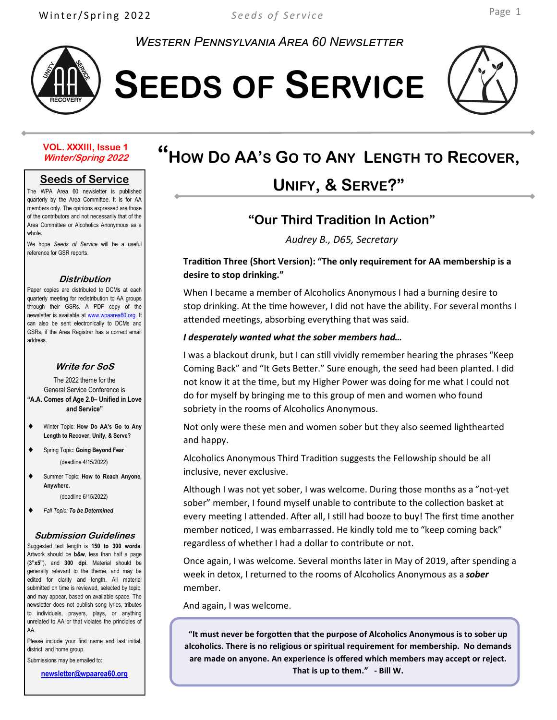*Western Pennsylvania Area 60 Newsletter*



**SEEDS OF SERVICE**



#### **VOL. XXXIII, Issue 1 Winter/Spring 2022**

#### **Seeds of Service**

The WPA Area 60 newsletter is published quarterly by the Area Committee. It is for AA members only. The opinions expressed are those of the contributors and not necessarily that of the Area Committee or Alcoholics Anonymous as a whole.

We hope *Seeds of Service* will be a useful reference for GSR reports.

#### **Distribution**

Paper copies are distributed to DCMs at each quarterly meeting for redistribution to AA groups through their GSRs. A PDF copy of the newsletter is available at www.wpaarea60.org. It can also be sent electronically to DCMs and GSRs, if the Area Registrar has a correct email address.

#### **Write for SoS**

The 2022 theme for the General Service Conference is **"A.A. Comes of Age 2.0– Unified in Love and Service"**

- Winter Topic: **How Do AA's Go to Any Length to Recover, Unify, & Serve?**
- Spring Topic: **Going Beyond Fear** (deadline 4/15/2022)
- Summer Topic: **How to Reach Anyone, Anywhere.**

(deadline 6/15/2022)

*Fall Topic: To be Determined* 

#### **Submission Guidelines**

Suggested text length is **150 to 300 words**. Artwork should be **b&w**, less than half a page (**3"x5"**), and **300 dpi**. Material should be generally relevant to the theme, and may be edited for clarity and length. All material submitted on time is reviewed, selected by topic, and may appear, based on available space. The newsletter does not publish song lyrics, tributes to individuals, prayers, plays, or anything unrelated to AA or that violates the principles of AA.

Please include your first name and last initial, district, and home group.

Submissions may be emailed to:

**newsletter@wpaarea60.org**

# **"<sup>H</sup>OW <sup>D</sup><sup>O</sup> AA'<sup>S</sup> <sup>G</sup><sup>O</sup> TO <sup>A</sup>NY LENGTH TO <sup>R</sup>ECOVER,**

# **UNIFY, & SERVE?"**

### **"Our Third Tradition In Action"**

*Audrey B., D65, Secretary*

#### **Tradition Three (Short Version): "The only requirement for AA membership is a desire to stop drinking."**

When I became a member of Alcoholics Anonymous I had a burning desire to stop drinking. At the time however, I did not have the ability. For several months I attended meetings, absorbing everything that was said.

#### *I desperately wanted what the sober members had…*

I was a blackout drunk, but I can still vividly remember hearing the phrases "Keep Coming Back" and "It Gets Better." Sure enough, the seed had been planted. I did not know it at the time, but my Higher Power was doing for me what I could not do for myself by bringing me to this group of men and women who found sobriety in the rooms of Alcoholics Anonymous.

Not only were these men and women sober but they also seemed lighthearted and happy.

Alcoholics Anonymous Third Tradition suggests the Fellowship should be all inclusive, never exclusive.

Although I was not yet sober, I was welcome. During those months as a "not-yet sober" member, I found myself unable to contribute to the collection basket at every meeting I attended. After all, I still had booze to buy! The first time another member noticed, I was embarrassed. He kindly told me to "keep coming back" regardless of whether I had a dollar to contribute or not.

Once again, I was welcome. Several months later in May of 2019, after spending a week in detox, I returned to the rooms of Alcoholics Anonymous as a *sober*  member.

And again, I was welcome.

**"It must never be forgotten that the purpose of Alcoholics Anonymous is to sober up alcoholics. There is no religious or spiritual requirement for membership. No demands are made on anyone. An experience is offered which members may accept or reject. That is up to them." - Bill W.**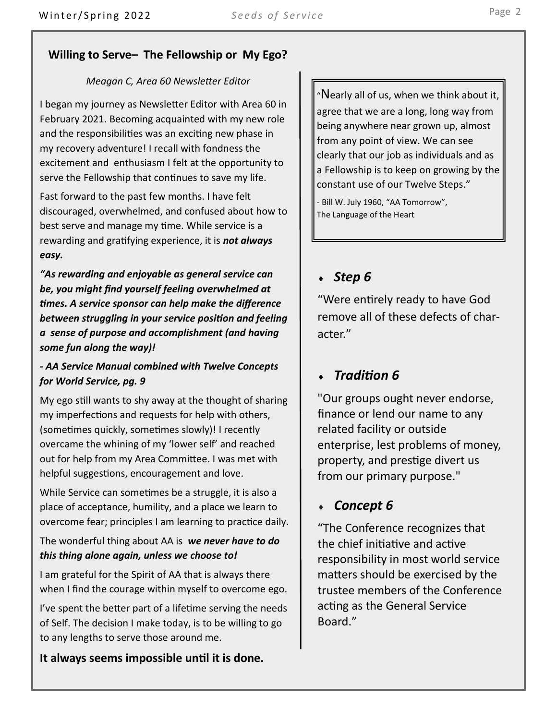### **Willing to Serve– The Fellowship or My Ego?**

#### *Meagan C, Area 60 Newsletter Editor*

I began my journey as Newsletter Editor with Area 60 in February 2021. Becoming acquainted with my new role and the responsibilities was an exciting new phase in my recovery adventure! I recall with fondness the excitement and enthusiasm I felt at the opportunity to serve the Fellowship that continues to save my life.

Fast forward to the past few months. I have felt discouraged, overwhelmed, and confused about how to best serve and manage my time. While service is a rewarding and gratifying experience, it is *not always easy.* 

*"As rewarding and enjoyable as general service can be, you might find yourself feeling overwhelmed at times. A service sponsor can help make the difference between struggling in your service position and feeling a sense of purpose and accomplishment (and having some fun along the way)!*

#### *- AA Service Manual combined with Twelve Concepts for World Service, pg. 9*

My ego still wants to shy away at the thought of sharing my imperfections and requests for help with others, (sometimes quickly, sometimes slowly)! I recently overcame the whining of my 'lower self' and reached out for help from my Area Committee. I was met with helpful suggestions, encouragement and love.

While Service can sometimes be a struggle, it is also a place of acceptance, humility, and a place we learn to overcome fear; principles I am learning to practice daily.

### The wonderful thing about AA is *we never have to do this thing alone again, unless we choose to!*

I am grateful for the Spirit of AA that is always there when I find the courage within myself to overcome ego.

I've spent the better part of a lifetime serving the needs of Self. The decision I make today, is to be willing to go to any lengths to serve those around me.

**It always seems impossible until it is done.** 

"Nearly all of us, when we think about it, agree that we are a long, long way from being anywhere near grown up, almost from any point of view. We can see clearly that our job as individuals and as a Fellowship is to keep on growing by the constant use of our Twelve Steps."

- Bill W. July 1960, "AA Tomorrow", The Language of the Heart

### *Step 6*

"Were entirely ready to have God remove all of these defects of character."

### *Tradition 6*

"Our groups ought never endorse, finance or lend our name to any related facility or outside enterprise, lest problems of money, property, and prestige divert us from our primary purpose."

### *Concept 6*

"The Conference recognizes that the chief initiative and active responsibility in most world service matters should be exercised by the trustee members of the Conference acting as the General Service Board."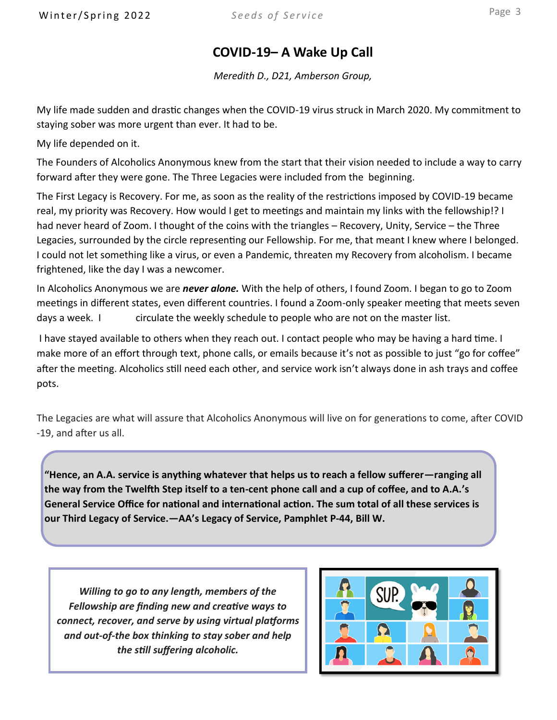## **COVID-19– A Wake Up Call**

*Meredith D., D21, Amberson Group,* 

My life made sudden and drastic changes when the COVID-19 virus struck in March 2020. My commitment to staying sober was more urgent than ever. It had to be.

My life depended on it.

The Founders of Alcoholics Anonymous knew from the start that their vision needed to include a way to carry forward after they were gone. The Three Legacies were included from the beginning.

The First Legacy is Recovery. For me, as soon as the reality of the restrictions imposed by COVID-19 became real, my priority was Recovery. How would I get to meetings and maintain my links with the fellowship!? I had never heard of Zoom. I thought of the coins with the triangles – Recovery, Unity, Service – the Three Legacies, surrounded by the circle representing our Fellowship. For me, that meant I knew where I belonged. I could not let something like a virus, or even a Pandemic, threaten my Recovery from alcoholism. I became frightened, like the day I was a newcomer.

In Alcoholics Anonymous we are *never alone.* With the help of others, I found Zoom. I began to go to Zoom meetings in different states, even different countries. I found a Zoom-only speaker meeting that meets seven days a week. I circulate the weekly schedule to people who are not on the master list.

I have stayed available to others when they reach out. I contact people who may be having a hard time. I make more of an effort through text, phone calls, or emails because it's not as possible to just "go for coffee" after the meeting. Alcoholics still need each other, and service work isn't always done in ash trays and coffee pots.

The Legacies are what will assure that Alcoholics Anonymous will live on for generations to come, after COVID -19, and after us all.

**"Hence, an A.A. service is anything whatever that helps us to reach a fellow sufferer—ranging all the way from the Twelfth Step itself to a ten-cent phone call and a cup of coffee, and to A.A.'s General Service Office for national and international action. The sum total of all these services is our Third Legacy of Service.—AA's Legacy of Service, Pamphlet P-44, Bill W.** 

*Willing to go to any length, members of the Fellowship are finding new and creative ways to connect, recover, and serve by using virtual platforms and out-of-the box thinking to stay sober and help the still suffering alcoholic.*

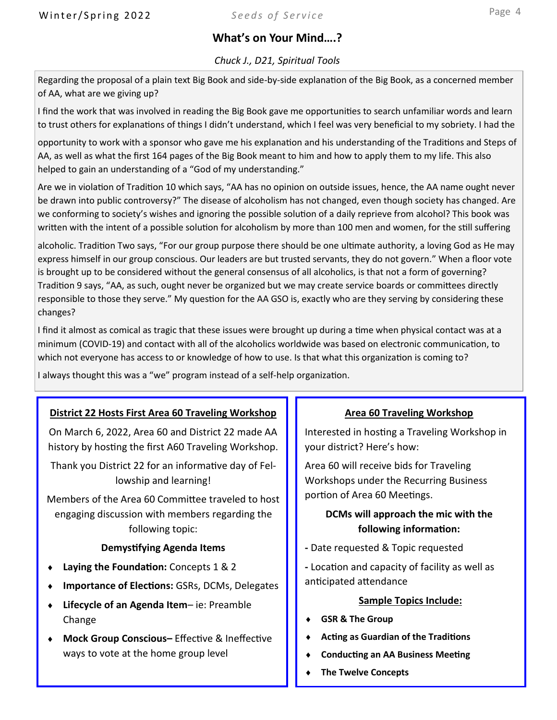### **What's on Your Mind….?**

#### *Chuck J., D21, Spiritual Tools*

Regarding the proposal of a plain text Big Book and side-by-side explanation of the Big Book, as a concerned member of AA, what are we giving up?

I find the work that was involved in reading the Big Book gave me opportunities to search unfamiliar words and learn to trust others for explanations of things I didn't understand, which I feel was very beneficial to my sobriety. I had the

opportunity to work with a sponsor who gave me his explanation and his understanding of the Traditions and Steps of AA, as well as what the first 164 pages of the Big Book meant to him and how to apply them to my life. This also helped to gain an understanding of a "God of my understanding."

Are we in violation of Tradition 10 which says, "AA has no opinion on outside issues, hence, the AA name ought never be drawn into public controversy?" The disease of alcoholism has not changed, even though society has changed. Are we conforming to society's wishes and ignoring the possible solution of a daily reprieve from alcohol? This book was written with the intent of a possible solution for alcoholism by more than 100 men and women, for the still suffering

alcoholic. Tradition Two says, "For our group purpose there should be one ultimate authority, a loving God as He may express himself in our group conscious. Our leaders are but trusted servants, they do not govern." When a floor vote is brought up to be considered without the general consensus of all alcoholics, is that not a form of governing? Tradition 9 says, "AA, as such, ought never be organized but we may create service boards or committees directly responsible to those they serve." My question for the AA GSO is, exactly who are they serving by considering these changes?

I find it almost as comical as tragic that these issues were brought up during a time when physical contact was at a minimum (COVID-19) and contact with all of the alcoholics worldwide was based on electronic communication, to which not everyone has access to or knowledge of how to use. Is that what this organization is coming to?

I always thought this was a "we" program instead of a self-help organization.

#### **District 22 Hosts First Area 60 Traveling Workshop**

On March 6, 2022, Area 60 and District 22 made AA history by hosting the first A60 Traveling Workshop.

Thank you District 22 for an informative day of Fellowship and learning!

Members of the Area 60 Committee traveled to host engaging discussion with members regarding the following topic:

#### **Demystifying Agenda Items**

- **Laying the Foundation:** Concepts 1 & 2
- **Importance of Elections:** GSRs, DCMs, Delegates
- **Lifecycle of an Agenda Item** ie: Preamble Change
- **Mock Group Conscious–** Effective & Ineffective ways to vote at the home group level

#### **Area 60 Traveling Workshop**

Interested in hosting a Traveling Workshop in your district? Here's how:

Area 60 will receive bids for Traveling Workshops under the Recurring Business portion of Area 60 Meetings.

#### **DCMs will approach the mic with the following information:**

- **-** Date requested & Topic requested
- **-** Location and capacity of facility as well as anticipated attendance

#### **Sample Topics Include:**

- **GSR & The Group**
- **Acting as Guardian of the Traditions**
- **Conducting an AA Business Meeting**
- **The Twelve Concepts**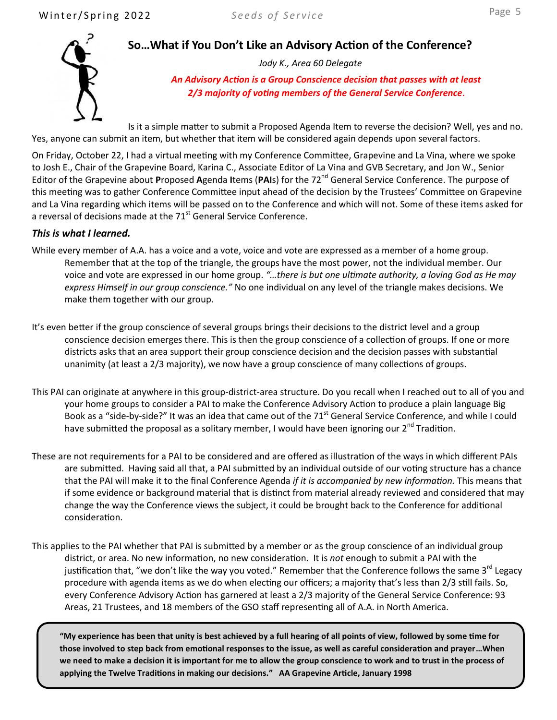

**So…What if You Don't Like an Advisory Action of the Conference?**

*Jody K., Area 60 Delegate*

*An Advisory Action is a Group Conscience decision that passes with at least 2/3 majority of voting members of the General Service Conference***.**

Is it a simple matter to submit a Proposed Agenda Item to reverse the decision? Well, yes and no. Yes, anyone can submit an item, but whether that item will be considered again depends upon several factors.

On Friday, October 22, I had a virtual meeting with my Conference Committee, Grapevine and La Vina, where we spoke to Josh E., Chair of the Grapevine Board, Karina C., Associate Editor of La Vina and GVB Secretary, and Jon W., Senior Editor of the Grapevine about **P**roposed **A**genda **I**tems (**PAI**s) for the 72nd General Service Conference. The purpose of this meeting was to gather Conference Committee input ahead of the decision by the Trustees' Committee on Grapevine and La Vina regarding which items will be passed on to the Conference and which will not. Some of these items asked for a reversal of decisions made at the  $71<sup>st</sup>$  General Service Conference.

#### *This is what I learned.*

- While every member of A.A. has a voice and a vote, voice and vote are expressed as a member of a home group. Remember that at the top of the triangle, the groups have the most power, not the individual member. Our voice and vote are expressed in our home group. *"…there is but one ultimate authority, a loving God as He may express Himself in our group conscience."* No one individual on any level of the triangle makes decisions. We make them together with our group.
- It's even better if the group conscience of several groups brings their decisions to the district level and a group conscience decision emerges there. This is then the group conscience of a collection of groups. If one or more districts asks that an area support their group conscience decision and the decision passes with substantial unanimity (at least a 2/3 majority), we now have a group conscience of many collections of groups.
- This PAI can originate at anywhere in this group-district-area structure. Do you recall when I reached out to all of you and your home groups to consider a PAI to make the Conference Advisory Action to produce a plain language Big Book as a "side-by-side?" It was an idea that came out of the 71<sup>st</sup> General Service Conference, and while I could have submitted the proposal as a solitary member, I would have been ignoring our  $2^{nd}$  Tradition.
- These are not requirements for a PAI to be considered and are offered as illustration of the ways in which different PAIs are submitted. Having said all that, a PAI submitted by an individual outside of our voting structure has a chance that the PAI will make it to the final Conference Agenda *if it is accompanied by new information.* This means that if some evidence or background material that is distinct from material already reviewed and considered that may change the way the Conference views the subject, it could be brought back to the Conference for additional consideration.
- This applies to the PAI whether that PAI is submitted by a member or as the group conscience of an individual group district, or area. No new information, no new consideration. It is *not* enough to submit a PAI with the justification that, "we don't like the way you voted." Remember that the Conference follows the same 3<sup>rd</sup> Legacy procedure with agenda items as we do when electing our officers; a majority that's less than 2/3 still fails. So, every Conference Advisory Action has garnered at least a 2/3 majority of the General Service Conference: 93 Areas, 21 Trustees, and 18 members of the GSO staff representing all of A.A. in North America.

**"My experience has been that unity is best achieved by a full hearing of all points of view, followed by some time for those involved to step back from emotional responses to the issue, as well as careful consideration and prayer…When we need to make a decision it is important for me to allow the group conscience to work and to trust in the process of applying the Twelve Traditions in making our decisions." AA Grapevine Article, January 1998**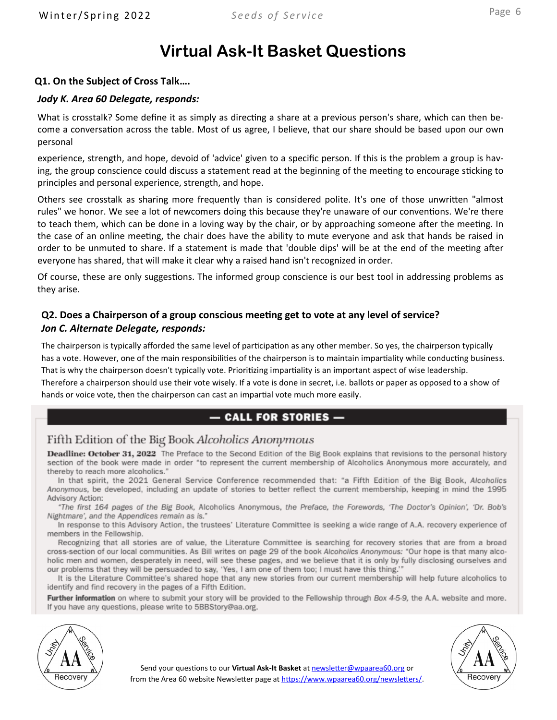# **Virtual Ask-It Basket Questions**

#### **Q1. On the Subject of Cross Talk….**

#### *Jody K. Area 60 Delegate, responds:*

What is crosstalk? Some define it as simply as directing a share at a previous person's share, which can then become a conversation across the table. Most of us agree, I believe, that our share should be based upon our own personal

experience, strength, and hope, devoid of 'advice' given to a specific person. If this is the problem a group is having, the group conscience could discuss a statement read at the beginning of the meeting to encourage sticking to principles and personal experience, strength, and hope.

Others see crosstalk as sharing more frequently than is considered polite. It's one of those unwritten "almost rules" we honor. We see a lot of newcomers doing this because they're unaware of our conventions. We're there to teach them, which can be done in a loving way by the chair, or by approaching someone after the meeting. In the case of an online meeting, the chair does have the ability to mute everyone and ask that hands be raised in order to be unmuted to share. If a statement is made that 'double dips' will be at the end of the meeting after everyone has shared, that will make it clear why a raised hand isn't recognized in order.

Of course, these are only suggestions. The informed group conscience is our best tool in addressing problems as they arise.

#### **Q2. Does a Chairperson of a group conscious meeting get to vote at any level of service?** *Jon C. Alternate Delegate, responds:*

The chairperson is typically afforded the same level of participation as any other member. So yes, the chairperson typically has a vote. However, one of the main responsibilities of the chairperson is to maintain impartiality while conducting business. That is why the chairperson doesn't typically vote. Prioritizing impartiality is an important aspect of wise leadership.

Therefore a chairperson should use their vote wisely. If a vote is done in secret, i.e. ballots or paper as opposed to a show of hands or voice vote, then the chairperson can cast an impartial vote much more easily.

### $-$  CALL FOR STORIES  $-$

### Fifth Edition of the Big Book Alcoholics Anonymous

Deadline: October 31, 2022 The Preface to the Second Edition of the Big Book explains that revisions to the personal history section of the book were made in order "to represent the current membership of Alcoholics Anonymous more accurately, and thereby to reach more alcoholics."

In that spirit, the 2021 General Service Conference recommended that: "a Fifth Edition of the Big Book, Alcoholics Anonymous, be developed, including an update of stories to better reflect the current membership, keeping in mind the 1995 Advisory Action:

"The first 164 pages of the Big Book, Alcoholics Anonymous, the Preface, the Forewords, 'The Doctor's Opinion', 'Dr. Bob's Nightmare', and the Appendices remain as is."

In response to this Advisory Action, the trustees' Literature Committee is seeking a wide range of A.A. recovery experience of members in the Fellowship.

Recognizing that all stories are of value, the Literature Committee is searching for recovery stories that are from a broad cross-section of our local communities. As Bill writes on page 29 of the book Alcoholics Anonymous: "Our hope is that many alcoholic men and women, desperately in need, will see these pages, and we believe that it is only by fully disclosing ourselves and our problems that they will be persuaded to say, 'Yes, I am one of them too; I must have this thing.'"

It is the Literature Committee's shared hope that any new stories from our current membership will help future alcoholics to identify and find recovery in the pages of a Fifth Edition.

Further information on where to submit your story will be provided to the Fellowship through Box 4-5-9, the A.A. website and more. If you have any questions, please write to 5BBStory@aa.org.



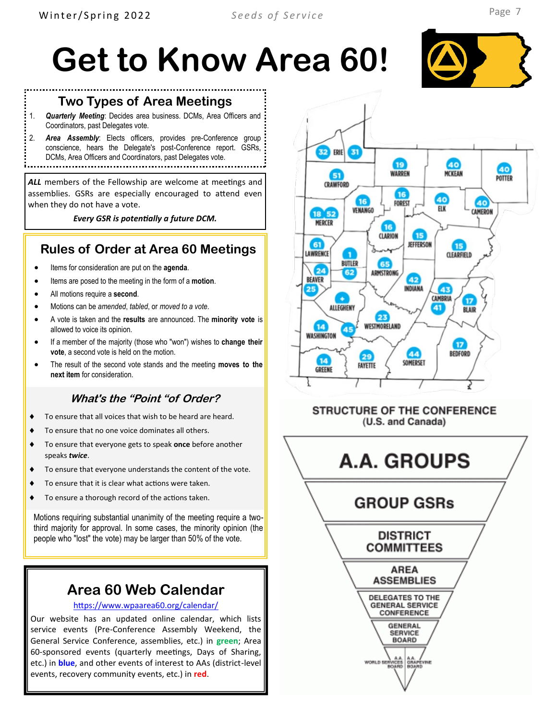#### **Two Types of Area Meetings**

1. *Quarterly Meeting*: Decides area business. DCMs, Area Officers and Coordinators, past Delegates vote.

2. *Area Assembly*: Elects officers, provides pre-Conference group conscience, hears the Delegate's post-Conference report. GSRs,

DCMs, Area Officers and Coordinators, past Delegates vote. 

*ALL* members of the Fellowship are welcome at meetings and assemblies. GSRs are especially encouraged to attend even when they do not have a vote.

*Every GSR is potentially a future DCM.*

### **Rules of Order at Area 60 Meetings**

- Items for consideration are put on the **agenda**.
- Items are posed to the meeting in the form of a **motion**.
- All motions require a **second**.
- Motions can be *amended*, *tabled*, or *moved to a vote*.
- A vote is taken and the **results** are announced. The **minority vote** is allowed to voice its opinion.
- If a member of the majority (those who "won") wishes to **change their vote**, a second vote is held on the motion.
- The result of the second vote stands and the meeting **moves to the next item** for consideration.

### **What's the "Point "of Order?**

- ◆ To ensure that all voices that wish to be heard are heard.
- To ensure that no one voice dominates all others.
- To ensure that everyone gets to speak **once** before another speaks *twice*.
- To ensure that everyone understands the content of the vote.
- To ensure that it is clear what actions were taken.
- To ensure a thorough record of the actions taken.

Motions requiring substantial unanimity of the meeting require a twothird majority for approval. In some cases, the minority opinion (the people who "lost" the vote) may be larger than 50% of the vote.

### **Area 60 Web Calendar**

#### <https://www.wpaarea60.org/calendar/>

Our website has an updated online calendar, which lists service events (Pre-Conference Assembly Weekend, the General Service Conference, assemblies, etc.) in **green**; Area 60-sponsored events (quarterly meetings, Days of Sharing, etc.) in **blue**, and other events of interest to AAs (district-level events, recovery community events, etc.) in **red**.



#### **STRUCTURE OF THE CONFERENCE** (U.S. and Canada)